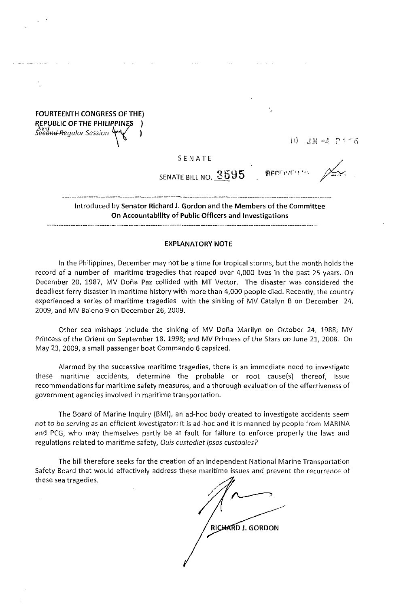FOURTEENTH CONGRESS OF THE) REPUBLIC OF THE PHILIPPINES Se<del>cond R</del>egular Session

 $10$   $\frac{100}{200}$   $-4$   $\frac{100}{200}$   $-4$   $\frac{100}{200}$ 

 $\frac{1}{2}$ 

SENATE

SENATE BILL NO. 3595

**BECTIVE** 

Introduced by Senator Richard J. Gordon and the Members of the Committee On Accountability of Public Officers and Investigations

## EXPLANATORY NOTE

In the Philippines, December may not be a time for tropical storms, but the month holds the record of a number of maritime tragedies that reaped over 4,000 lives in the past 25 years. On December 20, 1987, MV Doña Paz collided with MT Vector. The disaster was considered the deadliest ferry disaster in maritime history with more than 4,000 people died. Recently, the country experienced a series of maritime tragedies with the sinking of MV Catalyn B on December 24, 2009, and MV Baleno 9 on December 26, 2009.

Other sea mishaps include the sinking of MV Doña Marilyn on October 24, 1988; MV Princess of the Orient on September 18, 1998; and MV Princess of the Stars on June 21, 2008. On May 23, 2009, a small passenger boat Commando 6 capsized.

Alarmed by the successive maritime tragedies, there is an immediate need to investigate these maritime accidents, determine the probable or root cause(s) thereof, issue recommendations for maritime safety measures, and a thorough evaluation of the effectiveness of government agencies involved in maritime transportation.

The Board of Marine Inquiry (BMI), an ad-hoc body created to investigate accidents seem not to be serving as an efficient investigator: it is ad-hoc and it is manned by people from MARINA and PCG, who may themselves partly be at fault for failure to enforce properly the laws and regulations related to maritime safety, Quis custodiet ipsos custodies?

The bill therefore seeks for the creation of an independent National Marine Transportation Safety Board that would effectively address these maritime issues and prevent the recurrence of these sea tragedies.

**RICHARD J. GORDON**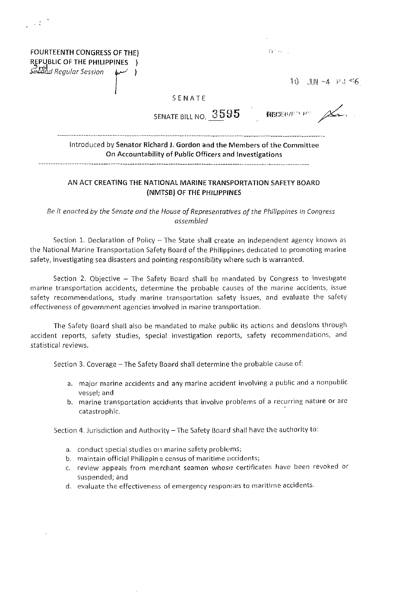| FOURTEENTH CONGRESS OF THE)<br>REPUBLIC OF THE PHILIPPINES )<br>Second Regular Session (مسلم) |                                                                                                                                     | $\{T_k\}$ , where $\{T_k\}$      |
|-----------------------------------------------------------------------------------------------|-------------------------------------------------------------------------------------------------------------------------------------|----------------------------------|
|                                                                                               |                                                                                                                                     | $10$ JM $-4$ P <sub>1</sub> $-6$ |
|                                                                                               | SENATE                                                                                                                              |                                  |
|                                                                                               | SENATE BILL NO. $3595$ RECENTED PO $\overline{\mathcal{L}}$ .                                                                       |                                  |
|                                                                                               | Introduced by Senator Richard J. Gordon and the Members of the Committee<br>On Accountability of Public Officers and Investigations |                                  |

 $\sim 0.1$ 

## AN ACT CREATING THE NATIONAL MARINE TRANSPORTATION SAFETY BOARD (NMTSB) OF THE PHILIPPINES

*Be it enacted by the Senate and the House of Representatives of the Philippines in Congress assembled* 

Section 1. Declaration of Policy - The State shall create an independent agency known as the National Marine Transportation Safety Board of the Philippines dedicated to promoting marine safety, investigating sea disasters and pointing responsibility where such is warranted.

Section 2. Objective - The Safety Board shall be mandated by Congress to investigate marine transportation accidents, determine the probable causes of the marine accidents, issue safety recommendations, study marine transportation safety issues, and evaluate the safety effectiveness of government agencies involved in marine transportation.

The Safety Board shall also be mandated to make public its actions and decisions through accident reports, safety studies, special investigation reports, safety recommendations, and statistical reviews.

Section 3. Coverage - The Safety Board shall determine the probable cause of:

- a. major marine accidents and any marine accident involving a public and a nonpublic vessel; and
- b. marine transportation accidents that involve problems of a recurring nature or are catastrophic.

Section 4. Jurisdiction and Authority - The Safety Board shall have the authority to:

- a. conduct special studies on marine safety problems;
- b. maintain official Philippin e census of maritime accidents;
- c. review appeals from merchant seamen whose certificates have been revoked or suspended; and
- d. evaluate the effectiveness of emergency responses to maritime accidents.